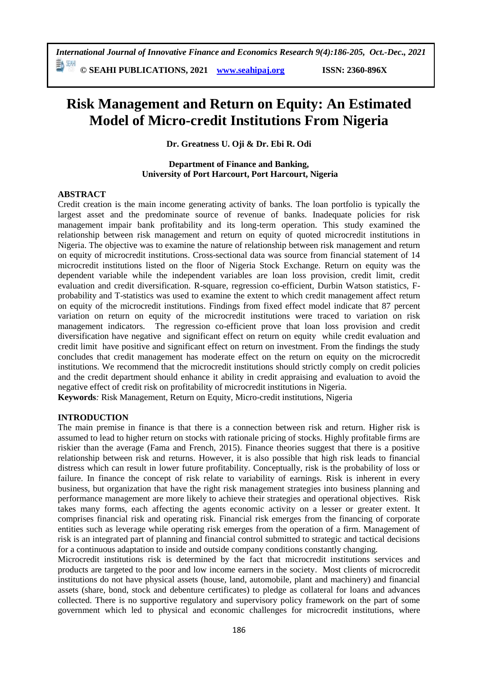*International Journal of Innovative Finance and Economics Research 9(4):186-205, Oct.-Dec., 2021* 勤細

**© SEAHI PUBLICATIONS, 2021 [www.seahipaj.org](http://www.seahipaj.org/) ISSN: 2360-896X**

# **Risk Management and Return on Equity: An Estimated Model of Micro-credit Institutions From Nigeria**

**Dr. Greatness U. Oji & Dr. Ebi R. Odi**

**Department of Finance and Banking, University of Port Harcourt, Port Harcourt, Nigeria**

#### **ABSTRACT**

Credit creation is the main income generating activity of banks. The loan portfolio is typically the largest asset and the predominate source of revenue of banks. Inadequate policies for risk management impair bank profitability and its long-term operation. This study examined the relationship between risk management and return on equity of quoted microcredit institutions in Nigeria. The objective was to examine the nature of relationship between risk management and return on equity of microcredit institutions. Cross-sectional data was source from financial statement of 14 microcredit institutions listed on the floor of Nigeria Stock Exchange. Return on equity was the dependent variable while the independent variables are loan loss provision, credit limit, credit evaluation and credit diversification. R-square, regression co-efficient, Durbin Watson statistics, Fprobability and T-statistics was used to examine the extent to which credit management affect return on equity of the microcredit institutions. Findings from fixed effect model indicate that 87 percent variation on return on equity of the microcredit institutions were traced to variation on risk management indicators. The regression co-efficient prove that loan loss provision and credit diversification have negative and significant effect on return on equity while credit evaluation and credit limit have positive and significant effect on return on investment. From the findings the study concludes that credit management has moderate effect on the return on equity on the microcredit institutions. We recommend that the microcredit institutions should strictly comply on credit policies and the credit department should enhance it ability in credit appraising and evaluation to avoid the negative effect of credit risk on profitability of microcredit institutions in Nigeria.

**Keywords***:* Risk Management, Return on Equity, Micro-credit institutions, Nigeria

#### **INTRODUCTION**

The main premise in finance is that there is a connection between risk and return. Higher risk is assumed to lead to higher return on stocks with rationale pricing of stocks. Highly profitable firms are riskier than the average (Fama and French, 2015). Finance theories suggest that there is a positive relationship between risk and returns. However, it is also possible that high risk leads to financial distress which can result in lower future profitability. Conceptually, risk is the probability of loss or failure. In finance the concept of risk relate to variability of earnings. Risk is inherent in every business, but organization that have the right risk management strategies into business planning and performance management are more likely to achieve their strategies and operational objectives. Risk takes many forms, each affecting the agents economic activity on a lesser or greater extent. It comprises financial risk and operating risk. Financial risk emerges from the financing of corporate entities such as leverage while operating risk emerges from the operation of a firm. Management of risk is an integrated part of planning and financial control submitted to strategic and tactical decisions for a continuous adaptation to inside and outside company conditions constantly changing.

Microcredit institutions risk is determined by the fact that microcredit institutions services and products are targeted to the poor and low income earners in the society. Most clients of microcredit institutions do not have physical assets (house, land, automobile, plant and machinery) and financial assets (share, bond, stock and debenture certificates) to pledge as collateral for loans and advances collected. There is no supportive regulatory and supervisory policy framework on the part of some government which led to physical and economic challenges for microcredit institutions, where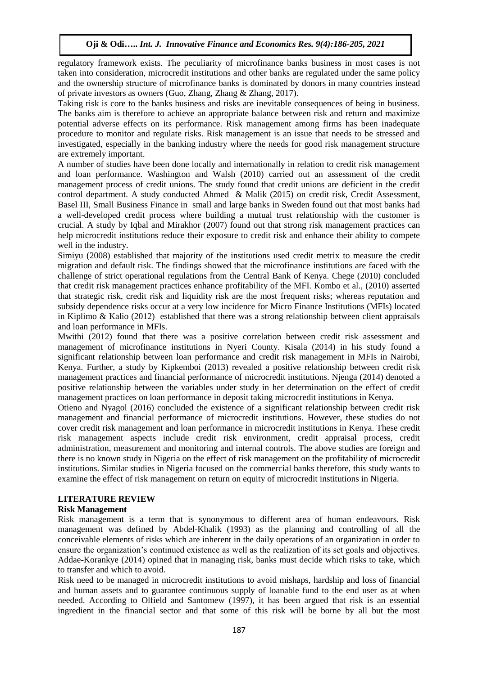regulatory framework exists. The peculiarity of microfinance banks business in most cases is not taken into consideration, microcredit institutions and other banks are regulated under the same policy and the ownership structure of microfinance banks is dominated by donors in many countries instead of private investors as owners (Guo, Zhang, Zhang & Zhang, 2017).

Taking risk is core to the banks business and risks are inevitable consequences of being in business. The banks aim is therefore to achieve an appropriate balance between risk and return and maximize potential adverse effects on its performance. Risk management among firms has been inadequate procedure to monitor and regulate risks. Risk management is an issue that needs to be stressed and investigated, especially in the banking industry where the needs for good risk management structure are extremely important.

A number of studies have been done locally and internationally in relation to credit risk management and loan performance. Washington and Walsh (2010) carried out an assessment of the credit management process of credit unions. The study found that credit unions are deficient in the credit control department. A study conducted Ahmed & Malik (2015) on credit risk, Credit Assessment, Basel III, Small Business Finance in small and large banks in Sweden found out that most banks had a well-developed credit process where building a mutual trust relationship with the customer is crucial. A study by Iqbal and Mirakhor (2007) found out that strong risk management practices can help microcredit institutions reduce their exposure to credit risk and enhance their ability to compete well in the industry.

Simiyu (2008) established that majority of the institutions used credit metrix to measure the credit migration and default risk. The findings showed that the microfinance institutions are faced with the challenge of strict operational regulations from the Central Bank of Kenya. Chege (2010) concluded that credit risk management practices enhance profitability of the MFI. Kombo et al., (2010) asserted that strategic risk, credit risk and liquidity risk are the most frequent risks; whereas reputation and subsidy dependence risks occur at a very low incidence for Micro Finance Institutions (MFIs) located in Kiplimo & Kalio (2012) established that there was a strong relationship between client appraisals and loan performance in MFIs.

Mwithi (2012) found that there was a positive correlation between credit risk assessment and management of microfinance institutions in Nyeri County. Kisala (2014) in his study found a significant relationship between loan performance and credit risk management in MFIs in Nairobi, Kenya. Further, a study by Kipkemboi (2013) revealed a positive relationship between credit risk management practices and financial performance of microcredit institutions. Njenga (2014) denoted a positive relationship between the variables under study in her determination on the effect of credit management practices on loan performance in deposit taking microcredit institutions in Kenya.

Otieno and Nyagol (2016) concluded the existence of a significant relationship between credit risk management and financial performance of microcredit institutions. However, these studies do not cover credit risk management and loan performance in microcredit institutions in Kenya. These credit risk management aspects include credit risk environment, credit appraisal process, credit administration, measurement and monitoring and internal controls. The above studies are foreign and there is no known study in Nigeria on the effect of risk management on the profitability of microcredit institutions. Similar studies in Nigeria focused on the commercial banks therefore, this study wants to examine the effect of risk management on return on equity of microcredit institutions in Nigeria.

# **LITERATURE REVIEW**

#### **Risk Management**

Risk management is a term that is synonymous to different area of human endeavours. Risk management was defined by Abdel-Khalik (1993) as the planning and controlling of all the conceivable elements of risks which are inherent in the daily operations of an organization in order to ensure the organization's continued existence as well as the realization of its set goals and objectives. Addae-Korankye (2014) opined that in managing risk, banks must decide which risks to take, which to transfer and which to avoid.

Risk need to be managed in microcredit institutions to avoid mishaps, hardship and loss of financial and human assets and to guarantee continuous supply of loanable fund to the end user as at when needed. According to Olfield and Santomew (1997), it has been argued that risk is an essential ingredient in the financial sector and that some of this risk will be borne by all but the most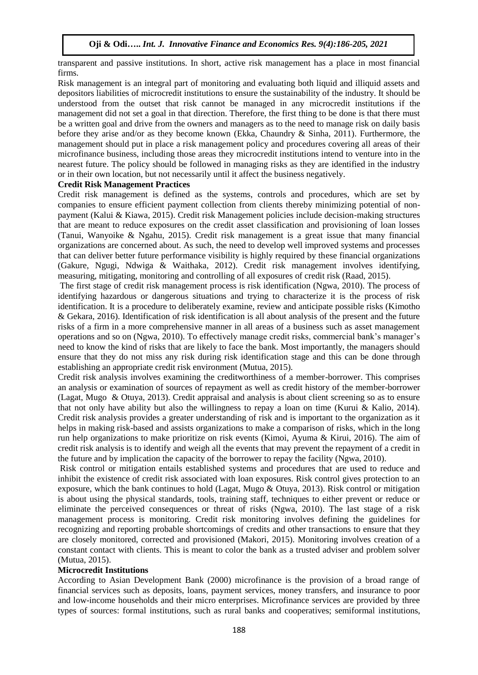transparent and passive institutions. In short, active risk management has a place in most financial firms.

Risk management is an integral part of monitoring and evaluating both liquid and illiquid assets and depositors liabilities of microcredit institutions to ensure the sustainability of the industry. It should be understood from the outset that risk cannot be managed in any microcredit institutions if the management did not set a goal in that direction. Therefore, the first thing to be done is that there must be a written goal and drive from the owners and managers as to the need to manage risk on daily basis before they arise and/or as they become known (Ekka, Chaundry & Sinha, 2011). Furthermore, the management should put in place a risk management policy and procedures covering all areas of their microfinance business, including those areas they microcredit institutions intend to venture into in the nearest future. The policy should be followed in managing risks as they are identified in the industry or in their own location, but not necessarily until it affect the business negatively.

#### **Credit Risk Management Practices**

Credit risk management is defined as the systems, controls and procedures, which are set by companies to ensure efficient payment collection from clients thereby minimizing potential of nonpayment (Kalui & Kiawa, 2015). Credit risk Management policies include decision-making structures that are meant to reduce exposures on the credit asset classification and provisioning of loan losses (Tanui, Wanyoike & Ngahu, 2015). Credit risk management is a great issue that many financial organizations are concerned about. As such, the need to develop well improved systems and processes that can deliver better future performance visibility is highly required by these financial organizations (Gakure, Ngugi, Ndwiga & Waithaka, 2012). Credit risk management involves identifying, measuring, mitigating, monitoring and controlling of all exposures of credit risk (Raad, 2015).

The first stage of credit risk management process is risk identification (Ngwa, 2010). The process of identifying hazardous or dangerous situations and trying to characterize it is the process of risk identification. It is a procedure to deliberately examine, review and anticipate possible risks (Kimotho & Gekara, 2016). Identification of risk identification is all about analysis of the present and the future risks of a firm in a more comprehensive manner in all areas of a business such as asset management operations and so on (Ngwa, 2010). To effectively manage credit risks, commercial bank's manager's need to know the kind of risks that are likely to face the bank. Most importantly, the managers should ensure that they do not miss any risk during risk identification stage and this can be done through establishing an appropriate credit risk environment (Mutua, 2015).

Credit risk analysis involves examining the creditworthiness of a member-borrower. This comprises an analysis or examination of sources of repayment as well as credit history of the member-borrower (Lagat, Mugo & Otuya, 2013). Credit appraisal and analysis is about client screening so as to ensure that not only have ability but also the willingness to repay a loan on time (Kurui & Kalio, 2014). Credit risk analysis provides a greater understanding of risk and is important to the organization as it helps in making risk-based and assists organizations to make a comparison of risks, which in the long run help organizations to make prioritize on risk events (Kimoi, Ayuma & Kirui, 2016). The aim of credit risk analysis is to identify and weigh all the events that may prevent the repayment of a credit in the future and by implication the capacity of the borrower to repay the facility (Ngwa, 2010).

Risk control or mitigation entails established systems and procedures that are used to reduce and inhibit the existence of credit risk associated with loan exposures. Risk control gives protection to an exposure, which the bank continues to hold (Lagat, Mugo & Otuya, 2013). Risk control or mitigation is about using the physical standards, tools, training staff, techniques to either prevent or reduce or eliminate the perceived consequences or threat of risks (Ngwa, 2010). The last stage of a risk management process is monitoring. Credit risk monitoring involves defining the guidelines for recognizing and reporting probable shortcomings of credits and other transactions to ensure that they are closely monitored, corrected and provisioned (Makori, 2015). Monitoring involves creation of a constant contact with clients. This is meant to color the bank as a trusted adviser and problem solver (Mutua, 2015).

#### **Microcredit Institutions**

According to Asian Development Bank (2000) microfinance is the provision of a broad range of financial services such as deposits, loans, payment services, money transfers, and insurance to poor and low-income households and their micro enterprises. Microfinance services are provided by three types of sources: formal institutions, such as rural banks and cooperatives; semiformal institutions,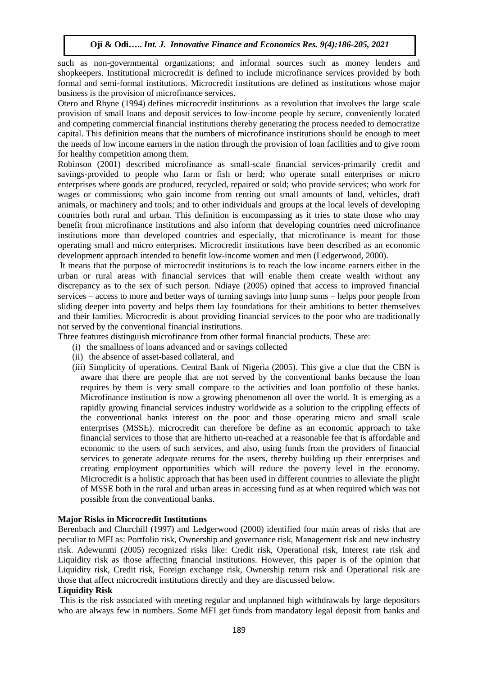such as non-governmental organizations; and informal sources such as money lenders and shopkeepers. Institutional microcredit is defined to include microfinance services provided by both formal and semi-formal institutions. Microcredit institutions are defined as institutions whose major business is the provision of microfinance services.

Otero and Rhyne (1994) defines microcredit institutions as a revolution that involves the large scale provision of small loans and deposit services to low-income people by secure, conveniently located and competing commercial financial institutions thereby generating the process needed to democratize capital. This definition means that the numbers of microfinance institutions should be enough to meet the needs of low income earners in the nation through the provision of loan facilities and to give room for healthy competition among them.

Robinson (2001) described microfinance as small-scale financial services-primarily credit and savings-provided to people who farm or fish or herd; who operate small enterprises or micro enterprises where goods are produced, recycled, repaired or sold; who provide services; who work for wages or commissions; who gain income from renting out small amounts of land, vehicles, draft animals, or machinery and tools; and to other individuals and groups at the local levels of developing countries both rural and urban. This definition is encompassing as it tries to state those who may benefit from microfinance institutions and also inform that developing countries need microfinance institutions more than developed countries and especially, that microfinance is meant for those operating small and micro enterprises. Microcredit institutions have been described as an economic development approach intended to benefit low-income women and men (Ledgerwood, 2000).

It means that the purpose of microcredit institutions is to reach the low income earners either in the urban or rural areas with financial services that will enable them create wealth without any discrepancy as to the sex of such person. Ndiaye (2005) opined that access to improved financial services – access to more and better ways of turning savings into lump sums – helps poor people from sliding deeper into poverty and helps them lay foundations for their ambitions to better themselves and their families. Microcredit is about providing financial services to the poor who are traditionally not served by the conventional financial institutions.

- Three features distinguish microfinance from other formal financial products. These are:
	- (i) the smallness of loans advanced and or savings collected
	- (ii) the absence of asset-based collateral, and
	- (iii) Simplicity of operations. Central Bank of Nigeria (2005). This give a clue that the CBN is aware that there are people that are not served by the conventional banks because the loan requires by them is very small compare to the activities and loan portfolio of these banks. Microfinance institution is now a growing phenomenon all over the world. It is emerging as a rapidly growing financial services industry worldwide as a solution to the crippling effects of the conventional banks interest on the poor and those operating micro and small scale enterprises (MSSE). microcredit can therefore be define as an economic approach to take financial services to those that are hitherto un-reached at a reasonable fee that is affordable and economic to the users of such services, and also, using funds from the providers of financial services to generate adequate returns for the users, thereby building up their enterprises and creating employment opportunities which will reduce the poverty level in the economy. Microcredit is a holistic approach that has been used in different countries to alleviate the plight of MSSE both in the rural and urban areas in accessing fund as at when required which was not possible from the conventional banks.

#### **Major Risks in Microcredit Institutions**

Berenbach and Churchill (1997) and Ledgerwood (2000) identified four main areas of risks that are peculiar to MFI as: Portfolio risk, Ownership and governance risk, Management risk and new industry risk. Adewunmi (2005) recognized risks like: Credit risk, Operational risk, Interest rate risk and Liquidity risk as those affecting financial institutions. However, this paper is of the opinion that Liquidity risk, Credit risk, Foreign exchange risk, Ownership return risk and Operational risk are those that affect microcredit institutions directly and they are discussed below.

#### **Liquidity Risk**

This is the risk associated with meeting regular and unplanned high withdrawals by large depositors who are always few in numbers. Some MFI get funds from mandatory legal deposit from banks and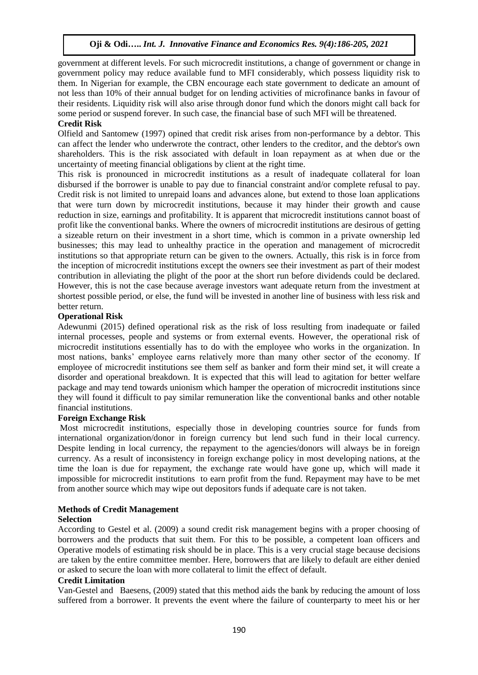government at different levels. For such microcredit institutions, a change of government or change in government policy may reduce available fund to MFI considerably, which possess liquidity risk to them. In Nigerian for example, the CBN encourage each state government to dedicate an amount of not less than 10% of their annual budget for on lending activities of microfinance banks in favour of their residents. Liquidity risk will also arise through donor fund which the donors might call back for some period or suspend forever. In such case, the financial base of such MFI will be threatened.

## **Credit Risk**

Olfield and Santomew (1997) opined that credit risk arises from non-performance by a debtor. This can affect the lender who underwrote the contract, other lenders to the creditor, and the debtor's own shareholders. This is the risk associated with default in loan repayment as at when due or the uncertainty of meeting financial obligations by client at the right time.

This risk is pronounced in microcredit institutions as a result of inadequate collateral for loan disbursed if the borrower is unable to pay due to financial constraint and/or complete refusal to pay. Credit risk is not limited to unrepaid loans and advances alone, but extend to those loan applications that were turn down by microcredit institutions, because it may hinder their growth and cause reduction in size, earnings and profitability. It is apparent that microcredit institutions cannot boast of profit like the conventional banks. Where the owners of microcredit institutions are desirous of getting a sizeable return on their investment in a short time, which is common in a private ownership led businesses; this may lead to unhealthy practice in the operation and management of microcredit institutions so that appropriate return can be given to the owners. Actually, this risk is in force from the inception of microcredit institutions except the owners see their investment as part of their modest contribution in alleviating the plight of the poor at the short run before dividends could be declared. However, this is not the case because average investors want adequate return from the investment at shortest possible period, or else, the fund will be invested in another line of business with less risk and better return.

# **Operational Risk**

Adewunmi (2015) defined operational risk as the risk of loss resulting from inadequate or failed internal processes, people and systems or from external events. However, the operational risk of microcredit institutions essentially has to do with the employee who works in the organization. In most nations, banks' employee earns relatively more than many other sector of the economy. If employee of microcredit institutions see them self as banker and form their mind set, it will create a disorder and operational breakdown. It is expected that this will lead to agitation for better welfare package and may tend towards unionism which hamper the operation of microcredit institutions since they will found it difficult to pay similar remuneration like the conventional banks and other notable financial institutions.

#### **Foreign Exchange Risk**

Most microcredit institutions, especially those in developing countries source for funds from international organization/donor in foreign currency but lend such fund in their local currency. Despite lending in local currency, the repayment to the agencies/donors will always be in foreign currency. As a result of inconsistency in foreign exchange policy in most developing nations, at the time the loan is due for repayment, the exchange rate would have gone up, which will made it impossible for microcredit institutions to earn profit from the fund. Repayment may have to be met from another source which may wipe out depositors funds if adequate care is not taken.

#### **Methods of Credit Management**

#### **Selection**

According to Gestel et al. (2009) a sound credit risk management begins with a proper choosing of borrowers and the products that suit them. For this to be possible, a competent loan officers and Operative models of estimating risk should be in place. This is a very crucial stage because decisions are taken by the entire committee member. Here, borrowers that are likely to default are either denied or asked to secure the loan with more collateral to limit the effect of default.

#### **Credit Limitation**

Van-Gestel and Baesens, (2009) stated that this method aids the bank by reducing the amount of loss suffered from a borrower. It prevents the event where the failure of counterparty to meet his or her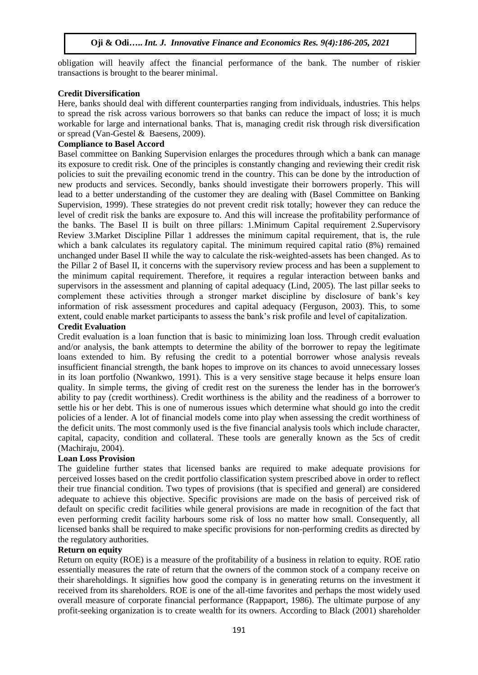obligation will heavily affect the financial performance of the bank. The number of riskier transactions is brought to the bearer minimal.

# **Credit Diversification**

Here, banks should deal with different counterparties ranging from individuals, industries. This helps to spread the risk across various borrowers so that banks can reduce the impact of loss; it is much workable for large and international banks. That is, managing credit risk through risk diversification or spread (Van-Gestel & Baesens, 2009).

## **Compliance to Basel Accord**

Basel committee on Banking Supervision enlarges the procedures through which a bank can manage its exposure to credit risk. One of the principles is constantly changing and reviewing their credit risk policies to suit the prevailing economic trend in the country. This can be done by the introduction of new products and services. Secondly, banks should investigate their borrowers properly. This will lead to a better understanding of the customer they are dealing with (Basel Committee on Banking Supervision, 1999). These strategies do not prevent credit risk totally; however they can reduce the level of credit risk the banks are exposure to. And this will increase the profitability performance of the banks. The Basel II is built on three pillars: 1.Minimum Capital requirement 2.Supervisory Review 3.Market Discipline Pillar 1 addresses the minimum capital requirement, that is, the rule which a bank calculates its regulatory capital. The minimum required capital ratio (8%) remained unchanged under Basel II while the way to calculate the risk-weighted-assets has been changed. As to the Pillar 2 of Basel II, it concerns with the supervisory review process and has been a supplement to the minimum capital requirement. Therefore, it requires a regular interaction between banks and supervisors in the assessment and planning of capital adequacy (Lind, 2005). The last pillar seeks to complement these activities through a stronger market discipline by disclosure of bank's key information of risk assessment procedures and capital adequacy (Ferguson, 2003). This, to some extent, could enable market participants to assess the bank's risk profile and level of capitalization.

#### **Credit Evaluation**

Credit evaluation is a loan function that is basic to minimizing loan loss. Through credit evaluation and/or analysis, the bank attempts to determine the ability of the borrower to repay the legitimate loans extended to him. By refusing the credit to a potential borrower whose analysis reveals insufficient financial strength, the bank hopes to improve on its chances to avoid unnecessary losses in its loan portfolio (Nwankwo, 1991). This is a very sensitive stage because it helps ensure loan quality. In simple terms, the giving of credit rest on the sureness the lender has in the borrower's ability to pay (credit worthiness). Credit worthiness is the ability and the readiness of a borrower to settle his or her debt. This is one of numerous issues which determine what should go into the credit policies of a lender. A lot of financial models come into play when assessing the credit worthiness of the deficit units. The most commonly used is the five financial analysis tools which include character, capital, capacity, condition and collateral. These tools are generally known as the 5cs of credit (Machiraju, 2004).

#### **Loan Loss Provision**

The guideline further states that licensed banks are required to make adequate provisions for perceived losses based on the credit portfolio classification system prescribed above in order to reflect their true financial condition. Two types of provisions (that is specified and general) are considered adequate to achieve this objective. Specific provisions are made on the basis of perceived risk of default on specific credit facilities while general provisions are made in recognition of the fact that even performing credit facility harbours some risk of loss no matter how small. Consequently, all licensed banks shall be required to make specific provisions for non-performing credits as directed by the regulatory authorities.

#### **Return on equity**

Return on equity (ROE) is a measure of the profitability of a business in relation to equity. ROE ratio essentially measures the rate of return that the owners of the common stock of a company receive on their shareholdings. It signifies how good the company is in generating returns on the investment it received from its shareholders. ROE is one of the all-time favorites and perhaps the most widely used overall measure of corporate financial performance (Rappaport, 1986). The ultimate purpose of any profit-seeking organization is to create wealth for its owners. According to Black (2001) shareholder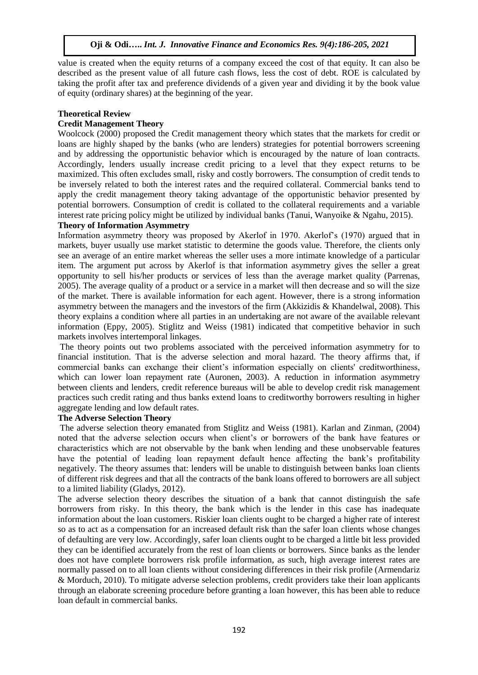value is created when the equity returns of a company exceed the cost of that equity. It can also be described as the present value of all future cash flows, less the cost of debt. ROE is calculated by taking the profit after tax and preference dividends of a given year and dividing it by the book value of equity (ordinary shares) at the beginning of the year.

## **Theoretical Review**

## **Credit Management Theory**

Woolcock (2000) proposed the Credit management theory which states that the markets for credit or loans are highly shaped by the banks (who are lenders) strategies for potential borrowers screening and by addressing the opportunistic behavior which is encouraged by the nature of loan contracts. Accordingly, lenders usually increase credit pricing to a level that they expect returns to be maximized. This often excludes small, risky and costly borrowers. The consumption of credit tends to be inversely related to both the interest rates and the required collateral. Commercial banks tend to apply the credit management theory taking advantage of the opportunistic behavior presented by potential borrowers. Consumption of credit is collated to the collateral requirements and a variable interest rate pricing policy might be utilized by individual banks (Tanui, Wanyoike & Ngahu, 2015).

#### **Theory of Information Asymmetry**

Information asymmetry theory was proposed by Akerlof in 1970. Akerlof's (1970) argued that in markets, buyer usually use market statistic to determine the goods value. Therefore, the clients only see an average of an entire market whereas the seller uses a more intimate knowledge of a particular item. The argument put across by Akerlof is that information asymmetry gives the seller a great opportunity to sell his/her products or services of less than the average market quality (Parrenas, 2005). The average quality of a product or a service in a market will then decrease and so will the size of the market. There is available information for each agent. However, there is a strong information asymmetry between the managers and the investors of the firm (Akkizidis & Khandelwal, 2008). This theory explains a condition where all parties in an undertaking are not aware of the available relevant information (Eppy, 2005). Stiglitz and Weiss (1981) indicated that competitive behavior in such markets involves intertemporal linkages.

The theory points out two problems associated with the perceived information asymmetry for to financial institution. That is the adverse selection and moral hazard. The theory affirms that, if commercial banks can exchange their client's information especially on clients' creditworthiness, which can lower loan repayment rate (Auronen, 2003). A reduction in information asymmetry between clients and lenders, credit reference bureaus will be able to develop credit risk management practices such credit rating and thus banks extend loans to creditworthy borrowers resulting in higher aggregate lending and low default rates.

#### **The Adverse Selection Theory**

The adverse selection theory emanated from Stiglitz and Weiss (1981). Karlan and Zinman, (2004) noted that the adverse selection occurs when client's or borrowers of the bank have features or characteristics which are not observable by the bank when lending and these unobservable features have the potential of leading loan repayment default hence affecting the bank's profitability negatively. The theory assumes that: lenders will be unable to distinguish between banks loan clients of different risk degrees and that all the contracts of the bank loans offered to borrowers are all subject to a limited liability (Gladys, 2012).

The adverse selection theory describes the situation of a bank that cannot distinguish the safe borrowers from risky. In this theory, the bank which is the lender in this case has inadequate information about the loan customers. Riskier loan clients ought to be charged a higher rate of interest so as to act as a compensation for an increased default risk than the safer loan clients whose changes of defaulting are very low. Accordingly, safer loan clients ought to be charged a little bit less provided they can be identified accurately from the rest of loan clients or borrowers. Since banks as the lender does not have complete borrowers risk profile information, as such, high average interest rates are normally passed on to all loan clients without considering differences in their risk profile (Armendariz & Morduch, 2010). To mitigate adverse selection problems, credit providers take their loan applicants through an elaborate screening procedure before granting a loan however, this has been able to reduce loan default in commercial banks.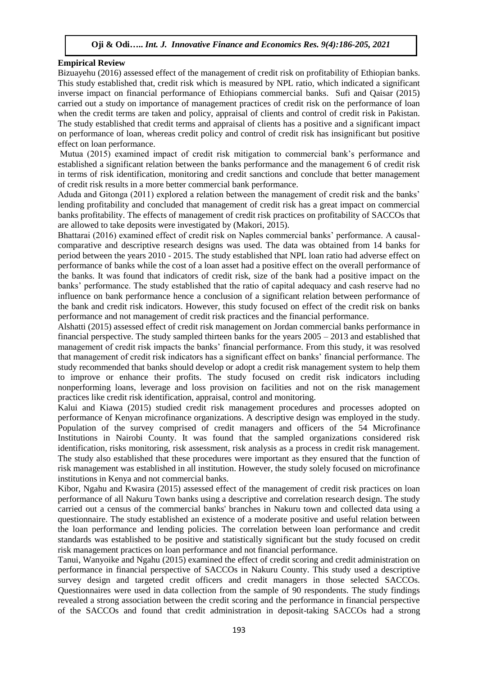## **Empirical Review**

Bizuayehu (2016) assessed effect of the management of credit risk on profitability of Ethiopian banks. This study established that, credit risk which is measured by NPL ratio, which indicated a significant inverse impact on financial performance of Ethiopians commercial banks. Sufi and Qaisar (2015) carried out a study on importance of management practices of credit risk on the performance of loan when the credit terms are taken and policy, appraisal of clients and control of credit risk in Pakistan. The study established that credit terms and appraisal of clients has a positive and a significant impact on performance of loan, whereas credit policy and control of credit risk has insignificant but positive effect on loan performance.

Mutua (2015) examined impact of credit risk mitigation to commercial bank's performance and established a significant relation between the banks performance and the management 6 of credit risk in terms of risk identification, monitoring and credit sanctions and conclude that better management of credit risk results in a more better commercial bank performance.

Aduda and Gitonga (2011) explored a relation between the management of credit risk and the banks' lending profitability and concluded that management of credit risk has a great impact on commercial banks profitability. The effects of management of credit risk practices on profitability of SACCOs that are allowed to take deposits were investigated by (Makori, 2015).

Bhattarai (2016) examined effect of credit risk on Naples commercial banks' performance. A causalcomparative and descriptive research designs was used. The data was obtained from 14 banks for period between the years 2010 - 2015. The study established that NPL loan ratio had adverse effect on performance of banks while the cost of a loan asset had a positive effect on the overall performance of the banks. It was found that indicators of credit risk, size of the bank had a positive impact on the banks' performance. The study established that the ratio of capital adequacy and cash reserve had no influence on bank performance hence a conclusion of a significant relation between performance of the bank and credit risk indicators. However, this study focused on effect of the credit risk on banks performance and not management of credit risk practices and the financial performance.

Alshatti (2015) assessed effect of credit risk management on Jordan commercial banks performance in financial perspective. The study sampled thirteen banks for the years 2005 – 2013 and established that management of credit risk impacts the banks' financial performance. From this study, it was resolved that management of credit risk indicators has a significant effect on banks' financial performance. The study recommended that banks should develop or adopt a credit risk management system to help them to improve or enhance their profits. The study focused on credit risk indicators including nonperforming loans, leverage and loss provision on facilities and not on the risk management practices like credit risk identification, appraisal, control and monitoring.

Kalui and Kiawa (2015) studied credit risk management procedures and processes adopted on performance of Kenyan microfinance organizations. A descriptive design was employed in the study. Population of the survey comprised of credit managers and officers of the 54 Microfinance Institutions in Nairobi County. It was found that the sampled organizations considered risk identification, risks monitoring, risk assessment, risk analysis as a process in credit risk management. The study also established that these procedures were important as they ensured that the function of risk management was established in all institution. However, the study solely focused on microfinance institutions in Kenya and not commercial banks.

Kibor, Ngahu and Kwasira (2015) assessed effect of the management of credit risk practices on loan performance of all Nakuru Town banks using a descriptive and correlation research design. The study carried out a census of the commercial banks' branches in Nakuru town and collected data using a questionnaire. The study established an existence of a moderate positive and useful relation between the loan performance and lending policies. The correlation between loan performance and credit standards was established to be positive and statistically significant but the study focused on credit risk management practices on loan performance and not financial performance.

Tanui, Wanyoike and Ngahu (2015) examined the effect of credit scoring and credit administration on performance in financial perspective of SACCOs in Nakuru County. This study used a descriptive survey design and targeted credit officers and credit managers in those selected SACCOs. Questionnaires were used in data collection from the sample of 90 respondents. The study findings revealed a strong association between the credit scoring and the performance in financial perspective of the SACCOs and found that credit administration in deposit-taking SACCOs had a strong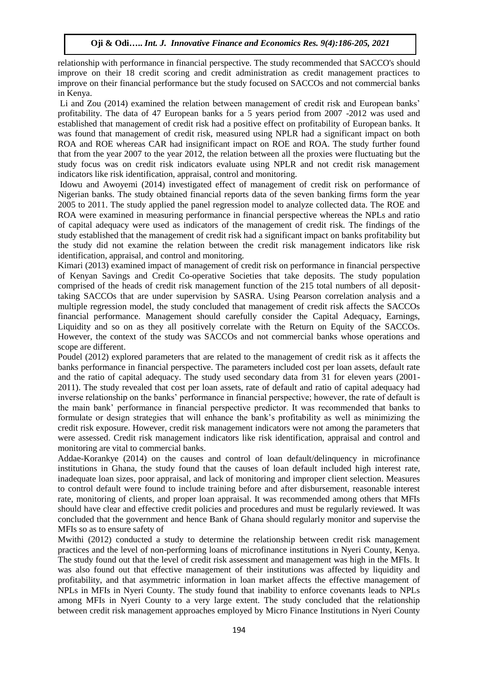relationship with performance in financial perspective. The study recommended that SACCO's should improve on their 18 credit scoring and credit administration as credit management practices to improve on their financial performance but the study focused on SACCOs and not commercial banks in Kenya.

Li and Zou (2014) examined the relation between management of credit risk and European banks' profitability. The data of 47 European banks for a 5 years period from 2007 -2012 was used and established that management of credit risk had a positive effect on profitability of European banks. It was found that management of credit risk, measured using NPLR had a significant impact on both ROA and ROE whereas CAR had insignificant impact on ROE and ROA. The study further found that from the year 2007 to the year 2012, the relation between all the proxies were fluctuating but the study focus was on credit risk indicators evaluate using NPLR and not credit risk management indicators like risk identification, appraisal, control and monitoring.

Idowu and Awoyemi (2014) investigated effect of management of credit risk on performance of Nigerian banks. The study obtained financial reports data of the seven banking firms form the year 2005 to 2011. The study applied the panel regression model to analyze collected data. The ROE and ROA were examined in measuring performance in financial perspective whereas the NPLs and ratio of capital adequacy were used as indicators of the management of credit risk. The findings of the study established that the management of credit risk had a significant impact on banks profitability but the study did not examine the relation between the credit risk management indicators like risk identification, appraisal, and control and monitoring.

Kimari (2013) examined impact of management of credit risk on performance in financial perspective of Kenyan Savings and Credit Co-operative Societies that take deposits. The study population comprised of the heads of credit risk management function of the 215 total numbers of all deposittaking SACCOs that are under supervision by SASRA. Using Pearson correlation analysis and a multiple regression model, the study concluded that management of credit risk affects the SACCOs financial performance. Management should carefully consider the Capital Adequacy, Earnings, Liquidity and so on as they all positively correlate with the Return on Equity of the SACCOs. However, the context of the study was SACCOs and not commercial banks whose operations and scope are different.

Poudel (2012) explored parameters that are related to the management of credit risk as it affects the banks performance in financial perspective. The parameters included cost per loan assets, default rate and the ratio of capital adequacy. The study used secondary data from 31 for eleven years (2001- 2011). The study revealed that cost per loan assets, rate of default and ratio of capital adequacy had inverse relationship on the banks' performance in financial perspective; however, the rate of default is the main bank' performance in financial perspective predictor. It was recommended that banks to formulate or design strategies that will enhance the bank's profitability as well as minimizing the credit risk exposure. However, credit risk management indicators were not among the parameters that were assessed. Credit risk management indicators like risk identification, appraisal and control and monitoring are vital to commercial banks.

Addae-Korankye (2014) on the causes and control of loan default/delinquency in microfinance institutions in Ghana, the study found that the causes of loan default included high interest rate, inadequate loan sizes, poor appraisal, and lack of monitoring and improper client selection. Measures to control default were found to include training before and after disbursement, reasonable interest rate, monitoring of clients, and proper loan appraisal. It was recommended among others that MFIs should have clear and effective credit policies and procedures and must be regularly reviewed. It was concluded that the government and hence Bank of Ghana should regularly monitor and supervise the MFIs so as to ensure safety of

Mwithi (2012) conducted a study to determine the relationship between credit risk management practices and the level of non-performing loans of microfinance institutions in Nyeri County, Kenya. The study found out that the level of credit risk assessment and management was high in the MFIs. It was also found out that effective management of their institutions was affected by liquidity and profitability, and that asymmetric information in loan market affects the effective management of NPLs in MFIs in Nyeri County. The study found that inability to enforce covenants leads to NPLs among MFIs in Nyeri County to a very large extent. The study concluded that the relationship between credit risk management approaches employed by Micro Finance Institutions in Nyeri County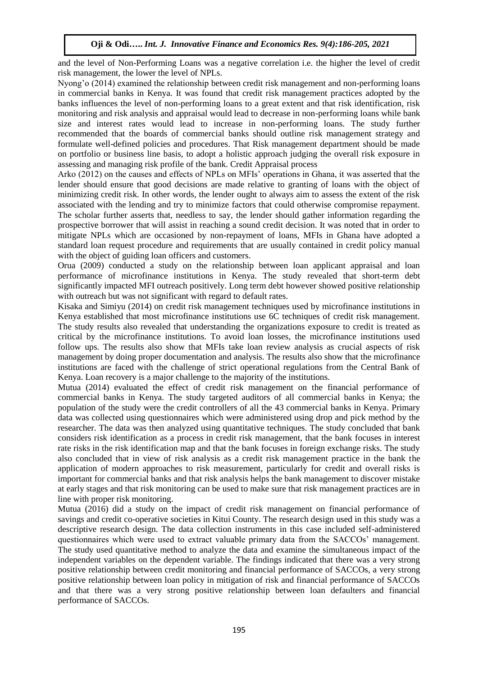and the level of Non-Performing Loans was a negative correlation i.e. the higher the level of credit risk management, the lower the level of NPLs.

Nyong'o (2014) examined the relationship between credit risk management and non-performing loans in commercial banks in Kenya. It was found that credit risk management practices adopted by the banks influences the level of non-performing loans to a great extent and that risk identification, risk monitoring and risk analysis and appraisal would lead to decrease in non-performing loans while bank size and interest rates would lead to increase in non-performing loans. The study further recommended that the boards of commercial banks should outline risk management strategy and formulate well-defined policies and procedures. That Risk management department should be made on portfolio or business line basis, to adopt a holistic approach judging the overall risk exposure in assessing and managing risk profile of the bank. Credit Appraisal process

Arko (2012) on the causes and effects of NPLs on MFIs' operations in Ghana, it was asserted that the lender should ensure that good decisions are made relative to granting of loans with the object of minimizing credit risk. In other words, the lender ought to always aim to assess the extent of the risk associated with the lending and try to minimize factors that could otherwise compromise repayment. The scholar further asserts that, needless to say, the lender should gather information regarding the prospective borrower that will assist in reaching a sound credit decision. It was noted that in order to mitigate NPLs which are occasioned by non-repayment of loans, MFIs in Ghana have adopted a standard loan request procedure and requirements that are usually contained in credit policy manual with the object of guiding loan officers and customers.

Orua (2009) conducted a study on the relationship between loan applicant appraisal and loan performance of microfinance institutions in Kenya. The study revealed that short-term debt significantly impacted MFI outreach positively. Long term debt however showed positive relationship with outreach but was not significant with regard to default rates.

Kisaka and Simiyu (2014) on credit risk management techniques used by microfinance institutions in Kenya established that most microfinance institutions use 6C techniques of credit risk management. The study results also revealed that understanding the organizations exposure to credit is treated as critical by the microfinance institutions. To avoid loan losses, the microfinance institutions used follow ups. The results also show that MFIs take loan review analysis as crucial aspects of risk management by doing proper documentation and analysis. The results also show that the microfinance institutions are faced with the challenge of strict operational regulations from the Central Bank of Kenya. Loan recovery is a major challenge to the majority of the institutions.

Mutua (2014) evaluated the effect of credit risk management on the financial performance of commercial banks in Kenya. The study targeted auditors of all commercial banks in Kenya; the population of the study were the credit controllers of all the 43 commercial banks in Kenya. Primary data was collected using questionnaires which were administered using drop and pick method by the researcher. The data was then analyzed using quantitative techniques. The study concluded that bank considers risk identification as a process in credit risk management, that the bank focuses in interest rate risks in the risk identification map and that the bank focuses in foreign exchange risks. The study also concluded that in view of risk analysis as a credit risk management practice in the bank the application of modern approaches to risk measurement, particularly for credit and overall risks is important for commercial banks and that risk analysis helps the bank management to discover mistake at early stages and that risk monitoring can be used to make sure that risk management practices are in line with proper risk monitoring.

Mutua (2016) did a study on the impact of credit risk management on financial performance of savings and credit co-operative societies in Kitui County. The research design used in this study was a descriptive research design. The data collection instruments in this case included self-administered questionnaires which were used to extract valuable primary data from the SACCOs' management. The study used quantitative method to analyze the data and examine the simultaneous impact of the independent variables on the dependent variable. The findings indicated that there was a very strong positive relationship between credit monitoring and financial performance of SACCOs, a very strong positive relationship between loan policy in mitigation of risk and financial performance of SACCOs and that there was a very strong positive relationship between loan defaulters and financial performance of SACCOs.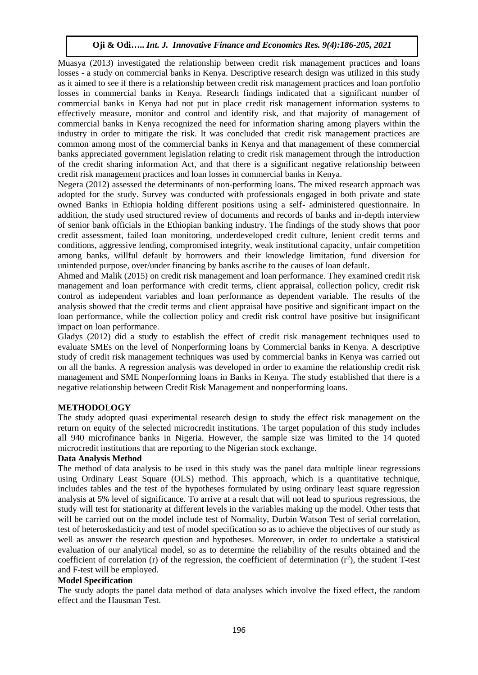Muasya (2013) investigated the relationship between credit risk management practices and loans losses - a study on commercial banks in Kenya. Descriptive research design was utilized in this study as it aimed to see if there is a relationship between credit risk management practices and loan portfolio losses in commercial banks in Kenya. Research findings indicated that a significant number of commercial banks in Kenya had not put in place credit risk management information systems to effectively measure, monitor and control and identify risk, and that majority of management of commercial banks in Kenya recognized the need for information sharing among players within the industry in order to mitigate the risk. It was concluded that credit risk management practices are common among most of the commercial banks in Kenya and that management of these commercial banks appreciated government legislation relating to credit risk management through the introduction of the credit sharing information Act, and that there is a significant negative relationship between credit risk management practices and loan losses in commercial banks in Kenya.

Negera (2012) assessed the determinants of non-performing loans. The mixed research approach was adopted for the study. Survey was conducted with professionals engaged in both private and state owned Banks in Ethiopia holding different positions using a self- administered questionnaire. In addition, the study used structured review of documents and records of banks and in-depth interview of senior bank officials in the Ethiopian banking industry. The findings of the study shows that poor credit assessment, failed loan monitoring, underdeveloped credit culture, lenient credit terms and conditions, aggressive lending, compromised integrity, weak institutional capacity, unfair competition among banks, willful default by borrowers and their knowledge limitation, fund diversion for unintended purpose, over/under financing by banks ascribe to the causes of loan default.

Ahmed and Malik (2015) on credit risk management and loan performance. They examined credit risk management and loan performance with credit terms, client appraisal, collection policy, credit risk control as independent variables and loan performance as dependent variable. The results of the analysis showed that the credit terms and client appraisal have positive and significant impact on the loan performance, while the collection policy and credit risk control have positive but insignificant impact on loan performance.

Gladys (2012) did a study to establish the effect of credit risk management techniques used to evaluate SMEs on the level of Nonperforming loans by Commercial banks in Kenya. A descriptive study of credit risk management techniques was used by commercial banks in Kenya was carried out on all the banks. A regression analysis was developed in order to examine the relationship credit risk management and SME Nonperforming loans in Banks in Kenya. The study established that there is a negative relationship between Credit Risk Management and nonperforming loans.

# **METHODOLOGY**

The study adopted quasi experimental research design to study the effect risk management on the return on equity of the selected microcredit institutions. The target population of this study includes all 940 microfinance banks in Nigeria. However, the sample size was limited to the 14 quoted microcredit institutions that are reporting to the Nigerian stock exchange.

#### **Data Analysis Method**

The method of data analysis to be used in this study was the panel data multiple linear regressions using Ordinary Least Square (OLS) method. This approach, which is a quantitative technique, includes tables and the test of the hypotheses formulated by using ordinary least square regression analysis at 5% level of significance. To arrive at a result that will not lead to spurious regressions, the study will test for stationarity at different levels in the variables making up the model. Other tests that will be carried out on the model include test of Normality, Durbin Watson Test of serial correlation, test of heteroskedasticity and test of model specification so as to achieve the objectives of our study as well as answer the research question and hypotheses. Moreover, in order to undertake a statistical evaluation of our analytical model, so as to determine the reliability of the results obtained and the coefficient of correlation (r) of the regression, the coefficient of determination  $(r^2)$ , the student T-test and F-test will be employed.

#### **Model Specification**

The study adopts the panel data method of data analyses which involve the fixed effect, the random effect and the Hausman Test.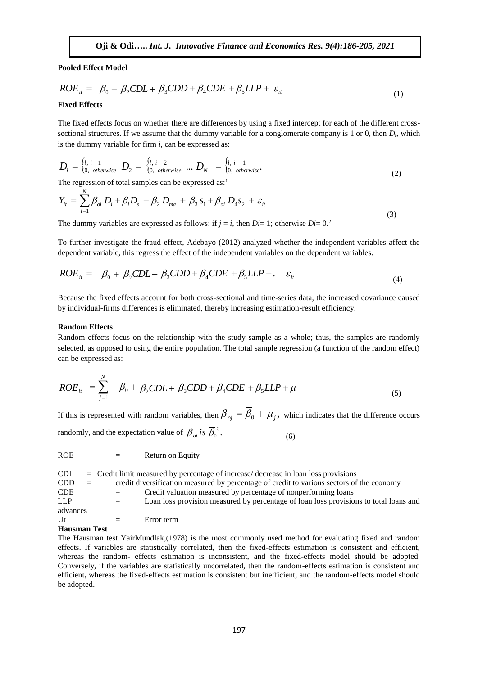**Pooled Effect Model**

$$
ROE_{it} = \beta_0 + \beta_2 CDL + \beta_3 CDD + \beta_4 CDE + \beta_5 LLP + \varepsilon_{it}
$$
\n(1)

#### **Fixed Effects**

The fixed effects focus on whether there are differences by using a fixed intercept for each of the different crosssectional structures. If we assume that the dummy variable for a conglomerate company is 1 or 0, then *Di*, which is the dummy variable for firm *i*, can be expressed as:

$$
D_{i} = \begin{cases} l, & i-1 \\ 0, & otherwise \end{cases} \quad D_{2} = \begin{cases} l, & i-2 \\ 0, & otherwise \end{cases} \quad \dots \quad D_{N} = \begin{cases} l, & i-1 \\ 0, & otherwise \end{cases} \tag{2}
$$

The regression of total samples can be expressed as:<sup>1</sup>

$$
Y_{it} = \sum_{i=1}^{N} \beta_{oi} D_i + \beta_i D_s + \beta_2 D_{ma} + \beta_3 S_1 + \beta_{oi} D_4 S_2 + \varepsilon_{it}
$$
\n(3)

The dummy variables are expressed as follows: if  $j = i$ , then  $Di = 1$ ; otherwise  $Di = 0$ <sup>2</sup>

To further investigate the fraud effect, Adebayo (2012) analyzed whether the independent variables affect the dependent variable, this regress the effect of the independent variables on the dependent variables.

$$
ROE_{it} = \beta_0 + \beta_2 CDL + \beta_3 CDD + \beta_4 CDE + \beta_5 LLP + \dots \varepsilon_{it}
$$
\n(4)

Because the fixed effects account for both cross-sectional and time-series data, the increased covariance caused by individual-firms differences is eliminated, thereby increasing estimation-result efficiency.

#### **Random Effects**

Random effects focus on the relationship with the study sample as a whole; thus, the samples are randomly selected, as opposed to using the entire population. The total sample regression (a function of the random effect) can be expressed as:

$$
ROE_{it} = \sum_{j=1}^{N} \beta_0 + \beta_2 CDL + \beta_3 CDD + \beta_4 CDE + \beta_5 LLP + \mu
$$
\n<sup>(5)</sup>

If this is represented with random variables, then  $\beta_{oj} = \beta_0 + \mu_j$ , which indicates that the difference occurs randomly, and the expectation value of  $\beta_{oi}$  is  $\overline{\beta}_0^5$ . (6)

ROE = Return on Equity

| CDL.                |     |     | $=$ Credit limit measured by percentage of increase/ decrease in loan loss provisions     |
|---------------------|-----|-----|-------------------------------------------------------------------------------------------|
| <b>CDD</b>          | $=$ |     | credit diversification measured by percentage of credit to various sectors of the economy |
| <b>CDE</b>          |     |     | Credit valuation measured by percentage of nonperforming loans                            |
| LLP.                |     | $=$ | Loan loss provision measured by percentage of loan loss provisions to total loans and     |
| advances            |     |     |                                                                                           |
| Ut                  |     | $=$ | Error term                                                                                |
| <b>Hausman Test</b> |     |     |                                                                                           |

The Hausman test YairMundlak,(1978) is the most commonly used method for evaluating fixed and random effects. If variables are statistically correlated, then the fixed-effects estimation is consistent and efficient, whereas the random- effects estimation is inconsistent, and the fixed-effects model should be adopted. Conversely, if the variables are statistically uncorrelated, then the random-effects estimation is consistent and efficient, whereas the fixed-effects estimation is consistent but inefficient, and the random-effects model should be adopted.-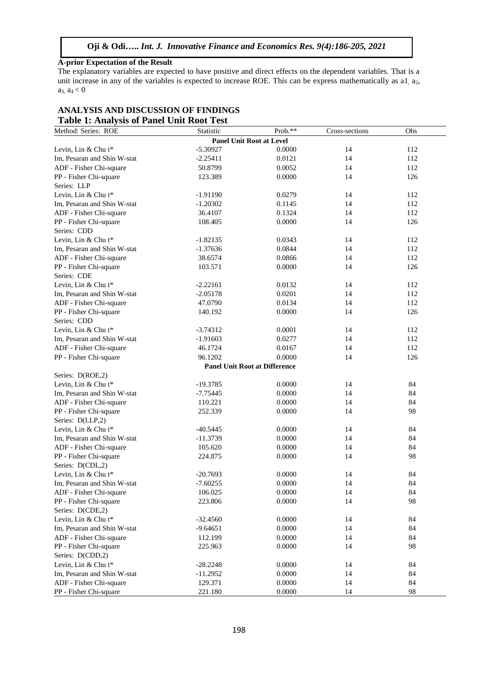#### **A-prior Expectation of the Result**

The explanatory variables are expected to have positive and direct effects on the dependent variables. That is a unit increase in any of the variables is expected to increase ROE. This can be express mathematically as a1, a2,  $a_3, a_4 < 0$ 

| Table 1: Analysis of Panel Unit Root Test<br>Method: Series: ROE | Statistic  | Prob.**                              | Cross-sections | Obs |
|------------------------------------------------------------------|------------|--------------------------------------|----------------|-----|
|                                                                  |            | <b>Panel Unit Root at Level</b>      |                |     |
| Levin, Lin & Chu t*                                              | $-5.30927$ | 0.0000                               | 14             | 112 |
| Im, Pesaran and Shin W-stat                                      | $-2.25411$ | 0.0121                               | 14             | 112 |
| ADF - Fisher Chi-square                                          | 50.8799    | 0.0052                               | 14             | 112 |
| PP - Fisher Chi-square                                           | 123.389    | 0.0000                               | 14             | 126 |
| Series: LLP                                                      |            |                                      |                |     |
| Levin, Lin & Chu t*                                              | $-1.91190$ | 0.0279                               | 14             | 112 |
| Im, Pesaran and Shin W-stat                                      | $-1.20302$ | 0.1145                               | 14             | 112 |
| ADF - Fisher Chi-square                                          | 36.4107    | 0.1324                               | 14             | 112 |
| PP - Fisher Chi-square                                           | 108.405    | 0.0000                               | 14             | 126 |
| Series: CDD                                                      |            |                                      |                |     |
| Levin, Lin & Chu t*                                              | $-1.82135$ | 0.0343                               | 14             | 112 |
| Im, Pesaran and Shin W-stat                                      | $-1.37636$ | 0.0844                               | 14             | 112 |
| ADF - Fisher Chi-square                                          | 38.6574    | 0.0866                               | 14             | 112 |
| PP - Fisher Chi-square                                           | 103.571    | 0.0000                               | 14             | 126 |
| Series: CDE                                                      |            |                                      |                |     |
| Levin, Lin & Chu t*                                              | $-2.22161$ | 0.0132                               | 14             | 112 |
| Im, Pesaran and Shin W-stat                                      | $-2.05178$ | 0.0201                               | 14             | 112 |
| ADF - Fisher Chi-square                                          | 47.0790    | 0.0134                               | 14             | 112 |
| PP - Fisher Chi-square                                           | 140.192    | 0.0000                               | 14             | 126 |
| Series: CDD                                                      |            |                                      |                |     |
| Levin, Lin & Chu t*                                              | $-3.74312$ | 0.0001                               | 14             | 112 |
| Im, Pesaran and Shin W-stat                                      | $-1.91603$ | 0.0277                               | 14             | 112 |
| ADF - Fisher Chi-square                                          | 46.1724    | 0.0167                               | 14             | 112 |
| PP - Fisher Chi-square                                           | 96.1202    | 0.0000                               | 14             | 126 |
|                                                                  |            | <b>Panel Unit Root at Difference</b> |                |     |
| Series: D(ROE,2)                                                 |            |                                      |                |     |
| Levin, Lin & Chu t*                                              | $-19.3785$ | 0.0000                               | 14             | 84  |
| Im, Pesaran and Shin W-stat                                      | $-7.75445$ | 0.0000                               | 14             | 84  |
| ADF - Fisher Chi-square                                          | 110.221    | 0.0000                               | 14             | 84  |
| PP - Fisher Chi-square                                           | 252.339    | 0.0000                               | 14             | 98  |
| Series: D(LLP,2)                                                 |            |                                      |                |     |
| Levin, Lin & Chu t*                                              | $-40.5445$ | 0.0000                               | 14             | 84  |
| Im, Pesaran and Shin W-stat                                      | $-11.3739$ | 0.0000                               | 14             | 84  |
| ADF - Fisher Chi-square                                          | 105.620    | 0.0000                               | 14             | 84  |
| PP - Fisher Chi-square                                           | 224.875    | 0.0000                               | 14             | 98  |
| Series: D(CDL,2)                                                 |            |                                      |                |     |
| Levin, Lin & Chu t*                                              | $-20.7693$ | 0.0000                               | 14             | 84  |
| Im, Pesaran and Shin W-stat                                      | $-7.60255$ | 0.0000                               | 14             | 84  |
| ADF - Fisher Chi-square                                          | 106.025    | 0.0000                               | 14             | 84  |
| PP - Fisher Chi-square                                           | 223.806    | 0.0000                               | 14             | 98  |
| Series: D(CDE,2)                                                 |            |                                      |                |     |
| Levin, Lin & Chu t*                                              | $-32.4560$ | 0.0000                               | 14             | 84  |
| Im, Pesaran and Shin W-stat                                      | $-9.64651$ | 0.0000                               | 14             | 84  |
| ADF - Fisher Chi-square                                          | 112.199    | 0.0000                               | 14             | 84  |
| PP - Fisher Chi-square                                           | 225.963    | 0.0000                               | 14             | 98  |
| Series: D(CDD,2)                                                 |            |                                      |                |     |
| Levin, Lin & Chu t*                                              | $-28.2248$ | 0.0000                               | 14             | 84  |
| Im, Pesaran and Shin W-stat                                      | $-11.2952$ | 0.0000                               | 14             | 84  |
| ADF - Fisher Chi-square                                          | 129.371    | 0.0000                               | 14             | 84  |
| PP - Fisher Chi-square                                           | 221.180    | 0.0000                               | 14             | 98  |
|                                                                  |            |                                      |                |     |

# **ANALYSIS AND DISCUSSION OF FINDINGS Table 1: Analysis of Panel Unit Root Test**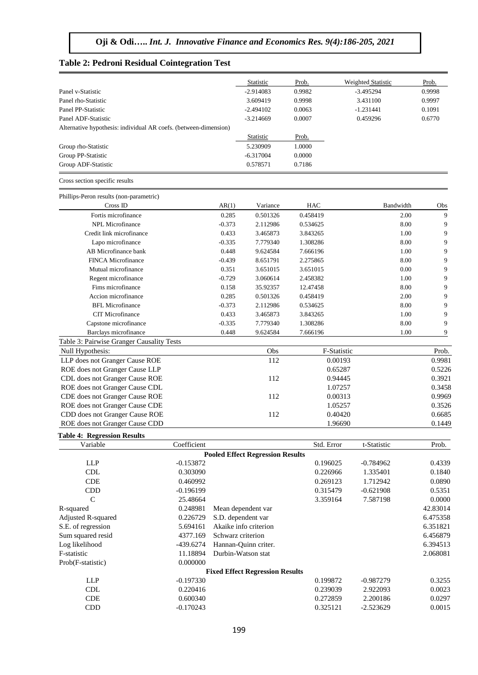#### **Table 2: Pedroni Residual Cointegration Test**

Prob(F-statistic) 0.000000

|                                                                  |             |          | Statistic                               | Prob.      | Weighted Statistic | Prob.     |
|------------------------------------------------------------------|-------------|----------|-----------------------------------------|------------|--------------------|-----------|
| Panel v-Statistic                                                |             |          | $-2.914083$                             | 0.9982     | $-3.495294$        | 0.9998    |
| Panel rho-Statistic                                              |             |          | 3.609419                                | 0.9998     | 3.431100           | 0.9997    |
| Panel PP-Statistic                                               |             |          | $-2.494102$                             | 0.0063     | $-1.231441$        | 0.1091    |
| Panel ADF-Statistic                                              |             |          | $-3.214669$                             | 0.0007     | 0.459296           | 0.6770    |
| Alternative hypothesis: individual AR coefs. (between-dimension) |             |          |                                         |            |                    |           |
|                                                                  |             |          | <b>Statistic</b>                        | Prob.      |                    |           |
| Group rho-Statistic                                              |             |          | 5.230909                                | 1.0000     |                    |           |
| Group PP-Statistic                                               |             |          | $-6.317004$                             | 0.0000     |                    |           |
| Group ADF-Statistic                                              |             |          | 0.578571                                | 0.7186     |                    |           |
| Cross section specific results                                   |             |          |                                         |            |                    |           |
| Phillips-Peron results (non-parametric)                          |             |          |                                         |            |                    |           |
| Cross ID                                                         |             | AR(1)    | Variance                                | <b>HAC</b> | Bandwidth          | Obs       |
| Fortis microfinance                                              |             | 0.285    | 0.501326                                | 0.458419   |                    | 2.00<br>9 |
| NPL Microfinance                                                 |             | $-0.373$ | 2.112986                                | 0.534625   |                    | 9<br>8.00 |
| Credit link microfinance                                         |             | 0.433    | 3.465873                                | 3.843265   |                    | 1.00<br>9 |
| Lapo microfinance                                                |             | $-0.335$ | 7.779340                                | 1.308286   |                    | 9<br>8.00 |
| AB Microfinance bank                                             |             | 0.448    | 9.624584                                | 7.666196   |                    | 9<br>1.00 |
| <b>FINCA Microfinance</b>                                        |             | $-0.439$ | 8.651791                                | 2.275865   |                    | 9<br>8.00 |
| Mutual microfinance                                              |             | 0.351    | 3.651015                                | 3.651015   |                    | 9<br>0.00 |
| Regent microfinance                                              |             | $-0.729$ | 3.060614                                | 2.458382   |                    | 9<br>1.00 |
| Fims microfinance                                                |             | 0.158    | 35.92357                                | 12.47458   |                    | 9<br>8.00 |
| Accion microfinance                                              |             | 0.285    | 0.501326                                | 0.458419   |                    | 9<br>2.00 |
| <b>BFL Microfinance</b>                                          |             | $-0.373$ | 2.112986                                | 0.534625   |                    | 9<br>8.00 |
| CIT Microfinance                                                 |             | 0.433    | 3.465873                                | 3.843265   |                    | 9<br>1.00 |
| Capstone microfinance                                            |             | $-0.335$ | 7.779340                                | 1.308286   |                    | 9<br>8.00 |
| Barclays microfinance                                            |             | 0.448    | 9.624584                                | 7.666196   |                    | 1.00<br>9 |
| Table 3: Pairwise Granger Causality Tests                        |             |          |                                         |            |                    |           |
| Null Hypothesis:                                                 |             |          | Obs                                     |            | F-Statistic        | Prob.     |
| LLP does not Granger Cause ROE                                   |             |          | 112                                     |            | 0.00193            | 0.9981    |
| ROE does not Granger Cause LLP                                   |             |          |                                         |            | 0.65287            | 0.5226    |
| CDL does not Granger Cause ROE                                   |             |          | 112                                     |            | 0.94445            | 0.3921    |
| ROE does not Granger Cause CDL                                   |             |          |                                         |            | 1.07257            | 0.3458    |
| CDE does not Granger Cause ROE                                   |             |          | 112                                     |            | 0.00313            | 0.9969    |
| ROE does not Granger Cause CDE                                   |             |          |                                         |            | 1.05257            | 0.3526    |
| CDD does not Granger Cause ROE                                   |             |          | 112                                     |            | 0.40420            | 0.6685    |
| ROE does not Granger Cause CDD                                   |             |          |                                         |            | 1.96690            | 0.1449    |
| <b>Table 4: Regression Results</b>                               |             |          |                                         |            |                    |           |
| Variable                                                         | Coefficient |          |                                         | Std. Error | t-Statistic        | Prob.     |
|                                                                  |             |          | <b>Pooled Effect Regression Results</b> |            |                    |           |
| <b>LLP</b>                                                       | $-0.153872$ |          |                                         | 0.196025   | $-0.784962$        | 0.4339    |
| <b>CDL</b>                                                       | 0.303090    |          |                                         | 0.226966   | 1.335401           | 0.1840    |
| CDE                                                              | 0.460992    |          |                                         | 0.269123   | 1.712942           | 0.0890    |
| CDD                                                              | $-0.196199$ |          |                                         | 0.315479   | $-0.621908$        | 0.5351    |
| $\mathsf{C}$                                                     | 25.48664    |          |                                         | 3.359164   | 7.587198           | 0.0000    |
| R-squared                                                        | 0.248981    |          | Mean dependent var                      |            |                    | 42.83014  |
| Adjusted R-squared                                               | 0.226729    |          | S.D. dependent var                      |            |                    | 6.475358  |

S.E. of regression 5.694161 Akaike info criterion 6.351821 Sum squared resid 4377.169 Schwarz criterion 6.456879 Log likelihood 6.394513 F-statistic 11.18894 Durbin-Watson stat 2.068081

**Fixed Effect Regression Results**

LLP -0.197330 -0.197330 -0.987279 0.3255 CDL 0.220416 0.239039 2.922093 0.0023 CDE 0.600340 0.272859 2.200186 0.0297 CDD -0.170243 0.325121 -2.523629 0.0015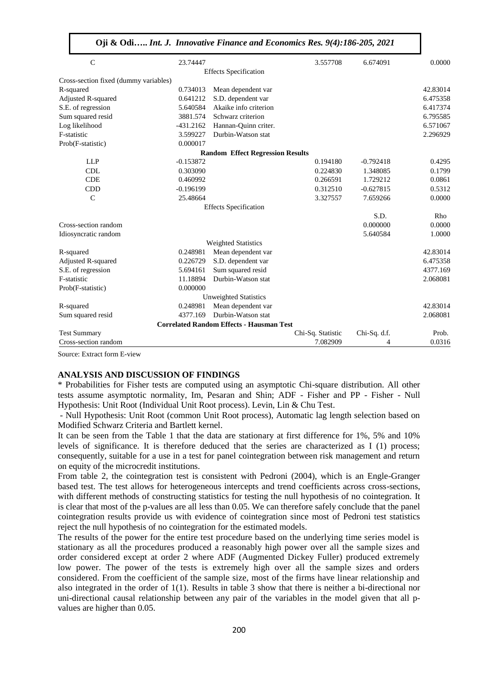| Oji & Odi Int. J. Innovative Finance and Economics Res. 9(4):186-205, 2021 |  |  |  |  |  |  |
|----------------------------------------------------------------------------|--|--|--|--|--|--|
|----------------------------------------------------------------------------|--|--|--|--|--|--|

| $\mathcal{C}$                         | 23.74447    |                                                 | 3.557708          | 6.674091     | 0.0000   |
|---------------------------------------|-------------|-------------------------------------------------|-------------------|--------------|----------|
|                                       |             | <b>Effects Specification</b>                    |                   |              |          |
| Cross-section fixed (dummy variables) |             |                                                 |                   |              |          |
| R-squared                             | 0.734013    | Mean dependent var                              |                   |              | 42.83014 |
| Adjusted R-squared                    | 0.641212    | S.D. dependent var                              |                   |              | 6.475358 |
| S.E. of regression                    | 5.640584    | Akaike info criterion                           |                   |              | 6.417374 |
| Sum squared resid                     | 3881.574    | Schwarz criterion                               |                   |              | 6.795585 |
| Log likelihood                        | $-431.2162$ | Hannan-Quinn criter.                            |                   |              | 6.571067 |
| F-statistic                           | 3.599227    | Durbin-Watson stat                              |                   |              | 2.296929 |
| Prob(F-statistic)                     | 0.000017    |                                                 |                   |              |          |
|                                       |             | <b>Random Effect Regression Results</b>         |                   |              |          |
| <b>LLP</b>                            | $-0.153872$ |                                                 | 0.194180          | $-0.792418$  | 0.4295   |
| <b>CDL</b>                            | 0.303090    |                                                 | 0.224830          | 1.348085     | 0.1799   |
| <b>CDE</b>                            | 0.460992    |                                                 | 0.266591          | 1.729212     | 0.0861   |
| <b>CDD</b>                            | $-0.196199$ |                                                 | 0.312510          | $-0.627815$  | 0.5312   |
| $\mathcal{C}$                         | 25.48664    |                                                 | 3.327557          | 7.659266     | 0.0000   |
|                                       |             | <b>Effects Specification</b>                    |                   |              |          |
|                                       |             |                                                 |                   | S.D.         | Rho      |
| Cross-section random                  |             |                                                 |                   | 0.000000     | 0.0000   |
| Idiosyncratic random                  |             |                                                 |                   | 5.640584     | 1.0000   |
|                                       |             | <b>Weighted Statistics</b>                      |                   |              |          |
| R-squared                             | 0.248981    | Mean dependent var                              |                   |              | 42.83014 |
| Adjusted R-squared                    | 0.226729    | S.D. dependent var                              |                   |              | 6.475358 |
| S.E. of regression                    | 5.694161    | Sum squared resid                               |                   |              | 4377.169 |
| F-statistic                           | 11.18894    | Durbin-Watson stat                              |                   |              | 2.068081 |
| Prob(F-statistic)                     | 0.000000    |                                                 |                   |              |          |
|                                       |             | <b>Unweighted Statistics</b>                    |                   |              |          |
| R-squared                             | 0.248981    | Mean dependent var                              |                   |              | 42.83014 |
| Sum squared resid                     | 4377.169    | Durbin-Watson stat                              |                   |              | 2.068081 |
|                                       |             | <b>Correlated Random Effects - Hausman Test</b> |                   |              |          |
| <b>Test Summary</b>                   |             |                                                 | Chi-Sq. Statistic | Chi-Sq. d.f. | Prob.    |
| Cross-section random                  |             |                                                 | 7.082909          | 4            | 0.0316   |

Source: Extract form E-view

#### **ANALYSIS AND DISCUSSION OF FINDINGS**

\* Probabilities for Fisher tests are computed using an asymptotic Chi-square distribution. All other tests assume asymptotic normality, Im, Pesaran and Shin; ADF - Fisher and PP - Fisher - Null Hypothesis: Unit Root (Individual Unit Root process). Levin, Lin & Chu Test.

- Null Hypothesis: Unit Root (common Unit Root process), Automatic lag length selection based on Modified Schwarz Criteria and Bartlett kernel.

It can be seen from the Table 1 that the data are stationary at first difference for 1%, 5% and 10% levels of significance. It is therefore deduced that the series are characterized as I (1) process; consequently, suitable for a use in a test for panel cointegration between risk management and return on equity of the microcredit institutions.

From table 2, the cointegration test is consistent with Pedroni (2004), which is an Engle-Granger based test. The test allows for heterogeneous intercepts and trend coefficients across cross-sections, with different methods of constructing statistics for testing the null hypothesis of no cointegration. It is clear that most of the p-values are all less than 0.05. We can therefore safely conclude that the panel cointegration results provide us with evidence of cointegration since most of Pedroni test statistics reject the null hypothesis of no cointegration for the estimated models.

The results of the power for the entire test procedure based on the underlying time series model is stationary as all the procedures produced a reasonably high power over all the sample sizes and order considered except at order 2 where ADF (Augmented Dickey Fuller) produced extremely low power. The power of the tests is extremely high over all the sample sizes and orders considered. From the coefficient of the sample size, most of the firms have linear relationship and also integrated in the order of 1(1). Results in table 3 show that there is neither a bi-directional nor uni-directional causal relationship between any pair of the variables in the model given that all pvalues are higher than 0.05.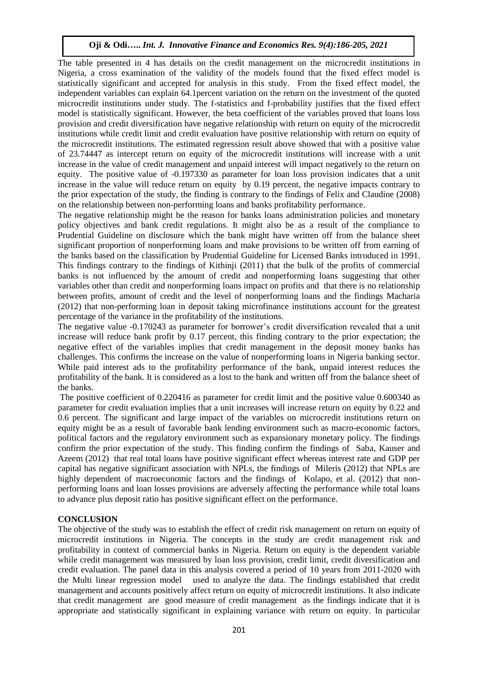The table presented in 4 has details on the credit management on the microcredit institutions in Nigeria, a cross examination of the validity of the models found that the fixed effect model is statistically significant and accepted for analysis in this study. From the fixed effect model, the independent variables can explain 64.1percent variation on the return on the investment of the quoted microcredit institutions under study. The f-statistics and f-probability justifies that the fixed effect model is statistically significant. However, the beta coefficient of the variables proved that loans loss provision and credit diversification have negative relationship with return on equity of the microcredit institutions while credit limit and credit evaluation have positive relationship with return on equity of the microcredit institutions. The estimated regression result above showed that with a positive value of 23.74447 as intercept return on equity of the microcredit institutions will increase with a unit increase in the value of credit management and unpaid interest will impact negatively to the return on equity. The positive value of -0.197330 as parameter for loan loss provision indicates that a unit increase in the value will reduce return on equity by 0.19 percent, the negative impacts contrary to the prior expectation of the study, the finding is contrary to the findings of Felix and Claudine (2008) on the relationship between non-performing loans and banks profitability performance.

The negative relationship might be the reason for banks loans administration policies and monetary policy objectives and bank credit regulations. It might also be as a result of the compliance to Prudential Guideline on disclosure which the bank might have written off from the balance sheet significant proportion of nonperforming loans and make provisions to be written off from earning of the banks based on the classification by Prudential Guideline for Licensed Banks introduced in 1991. This findings contrary to the findings of Kithinji (2011) that the bulk of the profits of commercial banks is not influenced by the amount of credit and nonperforming loans suggesting that other variables other than credit and nonperforming loans impact on profits and that there is no relationship between profits, amount of credit and the level of nonperforming loans and the findings Macharia (2012) that non-performing loan in deposit taking microfinance institutions account for the greatest percentage of the variance in the profitability of the institutions.

The negative value -0.170243 as parameter for borrower's credit diversification revealed that a unit increase will reduce bank profit by 0.17 percent, this finding contrary to the prior expectation; the negative effect of the variables implies that credit management in the deposit money banks has challenges. This confirms the increase on the value of nonperforming loans in Nigeria banking sector. While paid interest ads to the profitability performance of the bank, unpaid interest reduces the profitability of the bank. It is considered as a lost to the bank and written off from the balance sheet of the banks.

The positive coefficient of 0.220416 as parameter for credit limit and the positive value 0.600340 as parameter for credit evaluation implies that a unit increases will increase return on equity by 0.22 and 0.6 percent. The significant and large impact of the variables on microcredit institutions return on equity might be as a result of favorable bank lending environment such as macro-economic factors, political factors and the regulatory environment such as expansionary monetary policy. The findings confirm the prior expectation of the study. This finding confirm the findings of Saba, Kauser and Azeem (2012) that real total loans have positive significant effect whereas interest rate and GDP per capital has negative significant association with NPLs, the findings of Mileris (2012) that NPLs are highly dependent of macroeconomic factors and the findings of Kolapo, et al. (2012) that nonperforming loans and loan losses provisions are adversely affecting the performance while total loans to advance plus deposit ratio has positive significant effect on the performance.

#### **CONCLUSION**

The objective of the study was to establish the effect of credit risk management on return on equity of microcredit institutions in Nigeria. The concepts in the study are credit management risk and profitability in context of commercial banks in Nigeria. Return on equity is the dependent variable while credit management was measured by loan loss provision, credit limit, credit diversification and credit evaluation. The panel data in this analysis covered a period of 10 years from 2011-2020 with the Multi linear regression model used to analyze the data. The findings established that credit management and accounts positively affect return on equity of microcredit institutions. It also indicate that credit management are good measure of credit management as the findings indicate that it is appropriate and statistically significant in explaining variance with return on equity. In particular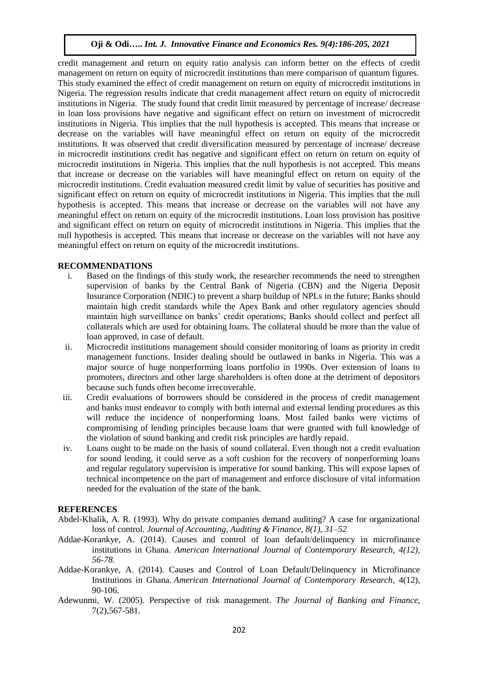credit management and return on equity ratio analysis can inform better on the effects of credit management on return on equity of microcredit institutions than mere comparison of quantum figures. This study examined the effect of credit management on return on equity of microcredit institutions in Nigeria. The regression results indicate that credit management affect return on equity of microcredit institutions in Nigeria. The study found that credit limit measured by percentage of increase/ decrease in loan loss provisions have negative and significant effect on return on investment of microcredit institutions in Nigeria. This implies that the null hypothesis is accepted. This means that increase or decrease on the variables will have meaningful effect on return on equity of the microcredit institutions. It was observed that credit diversification measured by percentage of increase/ decrease in microcredit institutions credit has negative and significant effect on return on return on equity of microcredit institutions in Nigeria. This implies that the null hypothesis is not accepted. This means that increase or decrease on the variables will have meaningful effect on return on equity of the microcredit institutions. Credit evaluation measured credit limit by value of securities has positive and significant effect on return on equity of microcredit institutions in Nigeria. This implies that the null hypothesis is accepted. This means that increase or decrease on the variables will not have any meaningful effect on return on equity of the microcredit institutions. Loan loss provision has positive and significant effect on return on equity of microcredit institutions in Nigeria. This implies that the null hypothesis is accepted. This means that increase or decrease on the variables will not have any meaningful effect on return on equity of the microcredit institutions.

#### **RECOMMENDATIONS**

- i. Based on the findings of this study work, the researcher recommends the need to strengthen supervision of banks by the Central Bank of Nigeria (CBN) and the Nigeria Deposit Insurance Corporation (NDIC) to prevent a sharp buildup of NPLs in the future; Banks should maintain high credit standards while the Apex Bank and other regulatory agencies should maintain high surveillance on banks' credit operations; Banks should collect and perfect all collaterals which are used for obtaining loans. The collateral should be more than the value of loan approved, in case of default.
- ii. Microcredit institutions management should consider monitoring of loans as priority in credit management functions. Insider dealing should be outlawed in banks in Nigeria. This was a major source of huge nonperforming loans portfolio in 1990s. Over extension of loans to promoters, directors and other large shareholders is often done at the detriment of depositors because such funds often become irrecoverable.
- iii. Credit evaluations of borrowers should be considered in the process of credit management and banks must endeavor to comply with both internal and external lending procedures as this will reduce the incidence of nonperforming loans. Most failed banks were victims of compromising of lending principles because loans that were granted with full knowledge of the violation of sound banking and credit risk principles are hardly repaid.
- iv. Loans ought to be made on the basis of sound collateral. Even though not a credit evaluation for sound lending, it could serve as a soft cushion for the recovery of nonperforming loans and regular regulatory supervision is imperative for sound banking. This will expose lapses of technical incompetence on the part of management and enforce disclosure of vital information needed for the evaluation of the state of the bank.

#### **REFERENCES**

- Abdel-Khalik, A. R. (1993). Why do private companies demand auditing? A case for organizational loss of control. *Journal of Accounting, Auditing & Finance, 8(1), 31–52*
- Addae-Korankye, A. (2014). Causes and control of loan default/delinquency in microfinance institutions in Ghana. *American International Journal of Contemporary Research, 4(12), 56-78.*
- Addae-Korankye, A. (2014). Causes and Control of Loan Default/Delinquency in Microfinance Institutions in Ghana. *American International Journal of Contemporary Research*, 4(12), 90-106.
- Adewunmi, W. (2005). Perspective of risk management. *The Journal of Banking and Finance*, 7(2),567-581.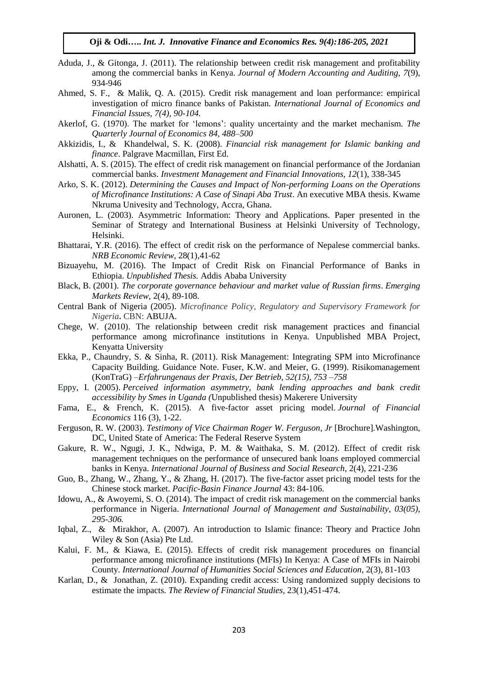- Aduda, J., & Gitonga, J. (2011). The relationship between credit risk management and profitability among the commercial banks in Kenya. *Journal of Modern Accounting and Auditing, 7*(9), 934-946
- Ahmed, S. F., & Malik, Q. A. (2015). Credit risk management and loan performance: empirical investigation of micro finance banks of Pakistan. *International Journal of Economics and Financial Issues, 7(4), 90-104.*
- Akerlof, G. (1970). The market for 'lemons': quality uncertainty and the market mechanism. *The Quarterly Journal of Economics 84, 488–500*
- Akkizidis, I., & Khandelwal, S. K. (2008). *Financial risk management for Islamic banking and finance*. Palgrave Macmillan, First Ed.
- Alshatti, A. S. (2015). The effect of credit risk management on financial performance of the Jordanian commercial banks. *Investment Management and Financial Innovations, 12*(1), 338-345
- Arko, S. K. (2012). *Determining the Causes and Impact of Non-performing Loans on the Operations of Microfinance Institutions: A Case of Sinapi Aba Trust*. An executive MBA thesis. Kwame Nkruma Univesity and Technology, Accra, Ghana.
- Auronen, L. (2003). Asymmetric Information: Theory and Applications. Paper presented in the Seminar of Strategy and International Business at Helsinki University of Technology, Helsinki.
- Bhattarai, Y.R. (2016). The effect of credit risk on the performance of Nepalese commercial banks. *NRB Economic Review,* 28(1),41-62
- Bizuayehu, M. (2016). The Impact of Credit Risk on Financial Performance of Banks in Ethiopia. *Unpublished Thesis.* Addis Ababa University
- Black, B. (2001). *The corporate governance behaviour and market value of Russian firms*. *Emerging Markets Review,* 2(4), 89-108.
- Central Bank of Nigeria (2005). *Microfinance Policy, Regulatory and Supervisory Framework for Nigeria***.** CBN: ABUJA.
- Chege, W. (2010). The relationship between credit risk management practices and financial performance among microfinance institutions in Kenya. Unpublished MBA Project, Kenyatta University
- Ekka, P., Chaundry, S. & Sinha, R. (2011). Risk Management: Integrating SPM into Microfinance Capacity Building. Guidance Note. Fuser, K.W. and Meier, G. (1999). Risikomanagement (KonTraG) –*Erfahrungenaus der Praxis, Der Betrieb, 52(15), 753 –758*
- Eppy, I. (2005). *Perceived information asymmetry, bank lending approaches and bank credit accessibility by Smes in Uganda (*Unpublished thesis) Makerere University
- Fama, E., & French, K. (2015). A five-factor asset pricing model. *Journal of Financial Economics* 116 (3), 1-22.
- Ferguson, R. W. (2003). *Testimony of Vice Chairman Roger W. Ferguson, Jr* [Brochure]*.*Washington, DC, United State of America: The Federal Reserve System
- Gakure, R. W., Ngugi, J. K., Ndwiga, P. M. & Waithaka, S. M. (2012). Effect of credit risk management techniques on the performance of unsecured bank loans employed commercial banks in Kenya. *International Journal of Business and Social Research*, 2(4), 221-236
- Guo, B., Zhang, W., Zhang, Y., & Zhang, H. (2017). The five-factor asset pricing model tests for the Chinese stock market. *Pacific-Basin Finance Journal* 43: 84-106.
- Idowu, A., & Awoyemi, S. O. (2014). The impact of credit risk management on the commercial banks performance in Nigeria. *International Journal of Management and Sustainability, 03(05), 295-306.*
- Iqbal, Z., & Mirakhor, A. (2007). An introduction to Islamic finance: Theory and Practice John Wiley & Son (Asia) Pte Ltd.
- Kalui, F. M., & Kiawa, E. (2015). Effects of credit risk management procedures on financial performance among microfinance institutions (MFIs) In Kenya: A Case of MFIs in Nairobi County. *International Journal of Humanities Social Sciences and Education*, 2(3), 81-103
- Karlan, D., & Jonathan, Z. (2010). Expanding credit access: Using randomized supply decisions to estimate the impacts. *The Review of Financial Studies,* 23(1),451-474.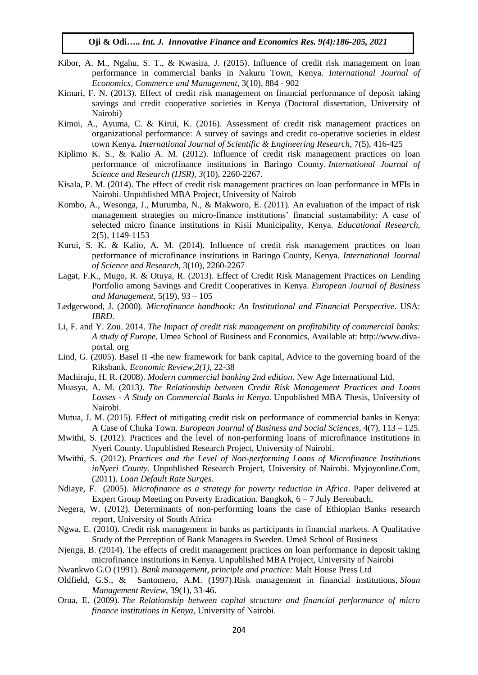- Kibor, A. M., Ngahu, S. T., & Kwasira, J. (2015). Influence of credit risk management on loan performance in commercial banks in Nakuru Town, Kenya. *International Journal of Economics, Commerce and Management*, 3(10), 884 - 902
- Kimari, F. N. (2013). Effect of credit risk management on financial performance of deposit taking savings and credit cooperative societies in Kenya (Doctoral dissertation, University of Nairobi)
- Kimoi, A., Ayuma, C. & Kirui, K. (2016). Assessment of credit risk management practices on organizational performance: A survey of savings and credit co-operative societies in eldest town Kenya*. International Journal of Scientific & Engineering Research,* 7(5), 416-425
- Kiplimo K. S., & Kalio A. M. (2012). Influence of credit risk management practices on loan performance of microfinance institutions in Baringo County. *International Journal of Science and Research (IJSR), 3*(10), 2260-2267.
- Kisala, P. M. (2014). The effect of credit risk management practices on loan performance in MFIs in Nairobi. Unpublished MBA Project, University of Nairob
- Kombo, A., Wesonga, J., Murumba, N., & Makworo, E. (2011). An evaluation of the impact of risk management strategies on micro-finance institutions' financial sustainability: A case of selected micro finance institutions in Kisii Municipality, Kenya. *Educational Research,* 2(5), 1149-1153
- Kurui, S. K. & Kalio, A. M. (2014). Influence of credit risk management practices on loan performance of microfinance institutions in Baringo County, Kenya. *International Journal of Science and Research,* 3(10), 2260-2267
- Lagat, F.K., Mugo, R. & Otuya, R. (2013). Effect of Credit Risk Management Practices on Lending Portfolio among Savings and Credit Cooperatives in Kenya. *European Journal of Business and Management*, 5(19), 93 – 105
- Ledgerwood, J. (2000). *Microfinance handbook: An Institutional and Financial Perspective*. USA: *IBRD*.
- Li, F. and Y. Zou. 2014. *The Impact of credit risk management on profitability of commercial banks: A study of Europe,* Umea School of Business and Economics, Available at: http://www.divaportal. org
- Lind, G. (2005). Basel II -the new framework for bank capital*,* Advice to the governing board of the Riksbank. *Economic Review,2(1),* 22-38
- Machiraju, H. R. (2008). *Modern commercial banking 2nd edition*. New Age International Ltd.
- Muasya, A. M. (2013*). The Relationship between Credit Risk Management Practices and Loans Losses - A Study on Commercial Banks in Kenya.* Unpublished MBA Thesis, University of Nairobi.
- Mutua, J. M. (2015). Effect of mitigating credit risk on performance of commercial banks in Kenya: A Case of Chuka Town. *European Journal of Business and Social Sciences,* 4(7), 113 – 125.
- Mwithi, S. (2012). Practices and the level of non-performing loans of microfinance institutions in Nyeri County. Unpublished Research Project, University of Nairobi.
- Mwithi, S. (2012). *Practices and the Level of Non-performing Loans of Microfinance Institutions inNyeri County*. Unpublished Research Project, University of Nairobi. Myjoyonline.Com, (2011). *Loan Default Rate Surges.*
- Ndiaye, F. (2005). *Microfinance as a strategy for poverty reduction in Africa*. Paper delivered at Expert Group Meeting on Poverty Eradication. Bangkok, 6 – 7 July Berenbach,
- Negera, W. (2012). Determinants of non-performing loans the case of Ethiopian Banks research report, University of South Africa
- Ngwa, E. (2010). Credit risk management in banks as participants in financial markets. A Qualitative Study of the Perception of Bank Managers in Sweden. Umeå School of Business
- Njenga, B. (2014). The effects of credit management practices on loan performance in deposit taking microfinance institutions in Kenya. Unpublished MBA Project, University of Nairobi
- Nwankwo G.O (1991). *Bank management, principle and practice:* Malt House Press Ltd
- Oldfield, G.S., & Santomero, A.M. (1997).Risk management in financial institutions, *Sloan Management Review*, 39(1), 33-46.
- Orua, E. (2009). *The Relationship between capital structure and financial performance of micro finance institutions in Kenya*, University of Nairobi.